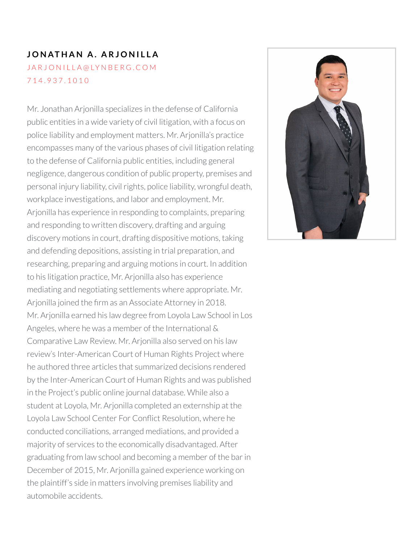# **J O N AT H A N A . A R J O N I L L A** JARJONILLA@[LY](mailto:jarjonilla@lynberg.com)NBERG.COM 7 1 4 . [9](tel:714.937.1010) 3 7 . 1 0 1 0

Mr. Jonathan Arjonilla specializes in the defense of California public entities in a wide variety of civil litigation, with a focus on police liability and employment matters. Mr. Arjonilla's practice encompasses many of the various phases of civil litigation relating to the defense of California public entities, including general negligence, dangerous condition of public property, premises and personal injury liability, civil rights, police liability, wrongful death, workplace investigations, and labor and employment. Mr. Arjonilla has experience in responding to complaints, preparing and responding to written discovery, drafting and arguing discovery motions in court, drafting dispositive motions, taking and defending depositions, assisting in trial preparation, and researching, preparing and arguing motions in court. In addition to his litigation practice, Mr. Arjonilla also has experience mediating and negotiating settlements where appropriate. Mr. Arjonilla joined the firm as an Associate Attorney in 2018. Mr. Arjonilla earned his law degree from Loyola Law School in Los Angeles, where he was a member of the International & Comparative Law Review. Mr. Arjonilla also served on his law review's Inter-American Court of Human Rights Project where he authored three articles that summarized decisions rendered by the Inter-American Court of Human Rights and was published in the Project's public online journal database. While also a student at Loyola, Mr. Arjonilla completed an externship at the Loyola Law School Center For Conflict Resolution, where he conducted conciliations, arranged mediations, and provided a majority of services to the economically disadvantaged. After graduating from law school and becoming a member of the barin December of 2015, Mr. Arjonilla gained experience working on the plaintiff's side in matters involving premises liability and automobile accidents.

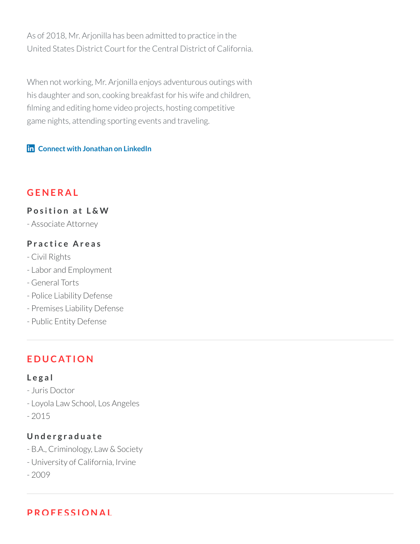As of 2018, Mr. Arjonilla has been admitted to practice in the United States District Court for the Central District of California.

When not working, Mr. Arjonilla enjoys adventurous outings with his daughter and son, cooking breakfast for his wife and children, filming and editing home video projects, hosting competitive game nights, attending sporting events and traveling.

#### **Connect with [Jonathan](https://www.linkedin.com/in/jonathan-jono-arjonilla-50321a1b) on LinkedIn**

### **G E N E R A L**

**P o s iti o n a t L & W**

- Associate Attorney

#### **P r a c ti c e A r e a s**

- Civil Rights
- Labor and Employment
- General Torts
- Police Liability Defense
- Premises Liability Defense
- Public Entity Defense

# **E D U C AT I O N**

#### **L e g a l**

- Juris Doctor
- Loyola Law School, Los Angeles
- 2015

### **U n d e r g r a d u a t e**

- B.A., Criminology, Law & Society
- University of California, Irvine
- 2009

**P RO F E S S I O N A L**